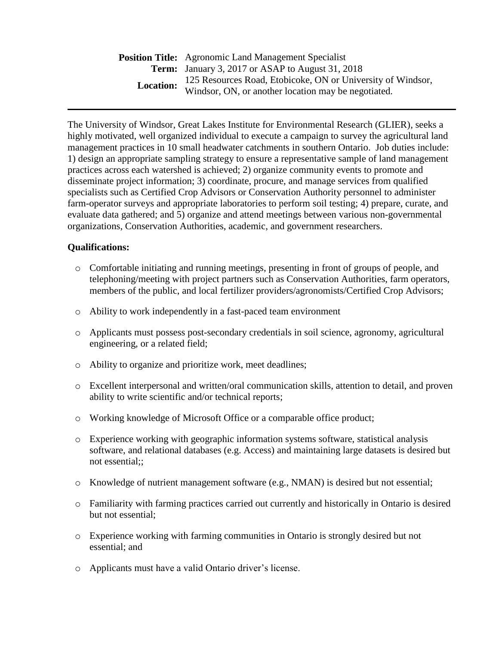**Position Title:** Agronomic Land Management Specialist **Term:** January 3, 2017 or ASAP to August 31, 2018 **Location:**  125 Resources Road, Etobicoke, ON or University of Windsor, Windsor, ON, or another location may be negotiated.

The University of Windsor, Great Lakes Institute for Environmental Research (GLIER), seeks a highly motivated, well organized individual to execute a campaign to survey the agricultural land management practices in 10 small headwater catchments in southern Ontario. Job duties include: 1) design an appropriate sampling strategy to ensure a representative sample of land management practices across each watershed is achieved; 2) organize community events to promote and disseminate project information; 3) coordinate, procure, and manage services from qualified specialists such as Certified Crop Advisors or Conservation Authority personnel to administer farm-operator surveys and appropriate laboratories to perform soil testing; 4) prepare, curate, and evaluate data gathered; and 5) organize and attend meetings between various non-governmental organizations, Conservation Authorities, academic, and government researchers.

## **Qualifications:**

- o Comfortable initiating and running meetings, presenting in front of groups of people, and telephoning/meeting with project partners such as Conservation Authorities, farm operators, members of the public, and local fertilizer providers/agronomists/Certified Crop Advisors;
- o Ability to work independently in a fast-paced team environment
- o Applicants must possess post-secondary credentials in soil science, agronomy, agricultural engineering, or a related field;
- o Ability to organize and prioritize work, meet deadlines;
- o Excellent interpersonal and written/oral communication skills, attention to detail, and proven ability to write scientific and/or technical reports;
- o Working knowledge of Microsoft Office or a comparable office product;
- o Experience working with geographic information systems software, statistical analysis software, and relational databases (e.g. Access) and maintaining large datasets is desired but not essential;;
- o Knowledge of nutrient management software (e.g., NMAN) is desired but not essential;
- o Familiarity with farming practices carried out currently and historically in Ontario is desired but not essential;
- o Experience working with farming communities in Ontario is strongly desired but not essential; and
- o Applicants must have a valid Ontario driver's license.